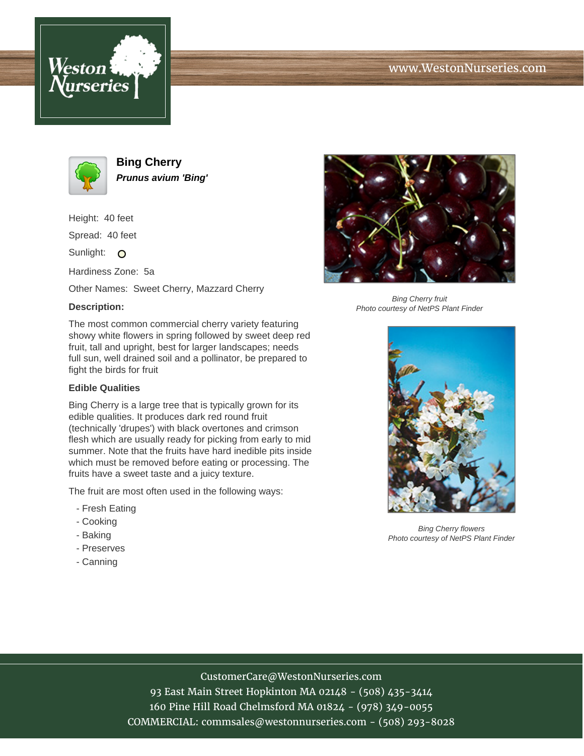





**Bing Cherry Prunus avium 'Bing'**

Height: 40 feet

Spread: 40 feet

Sunlight: O

Hardiness Zone: 5a

Other Names: Sweet Cherry, Mazzard Cherry

## **Description:**

The most common commercial cherry variety featuring showy white flowers in spring followed by sweet deep red fruit, tall and upright, best for larger landscapes; needs full sun, well drained soil and a pollinator, be prepared to fight the birds for fruit

## **Edible Qualities**

Bing Cherry is a large tree that is typically grown for its edible qualities. It produces dark red round fruit (technically 'drupes') with black overtones and crimson flesh which are usually ready for picking from early to mid summer. Note that the fruits have hard inedible pits inside which must be removed before eating or processing. The fruits have a sweet taste and a juicy texture.

The fruit are most often used in the following ways:

- Fresh Eating
- Cooking
- Baking
- Preserves
- Canning



Bing Cherry fruit Photo courtesy of NetPS Plant Finder



Bing Cherry flowers Photo courtesy of NetPS Plant Finder

# CustomerCare@WestonNurseries.com

93 East Main Street Hopkinton MA 02148 - (508) 435-3414 160 Pine Hill Road Chelmsford MA 01824 - (978) 349-0055 COMMERCIAL: commsales@westonnurseries.com - (508) 293-8028